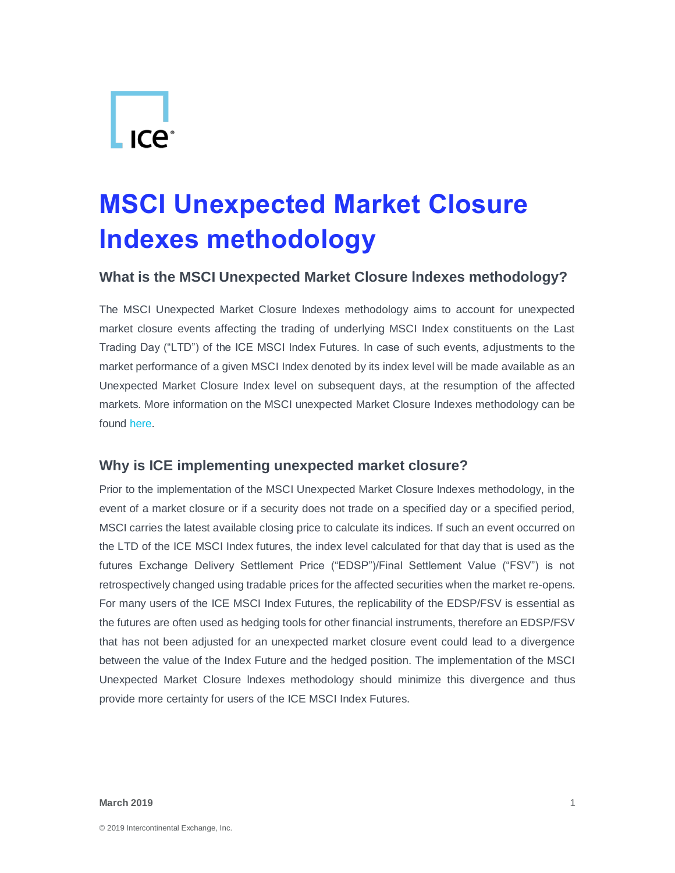# $\lfloor \frac{\cdot}{\cdot} \rfloor$

# **MSCI Unexpected Market Closure lndexes methodology**

#### **What is the MSCI Unexpected Market Closure lndexes methodology?**

The MSCI Unexpected Market Closure lndexes methodology aims to account for unexpected market closure events affecting the trading of underlying MSCI Index constituents on the Last Trading Day ("LTD") of the ICE MSCI Index Futures. In case of such events, adjustments to the market performance of a given MSCI Index denoted by its index level will be made available as an Unexpected Market Closure Index level on subsequent days, at the resumption of the affected markets. More information on the MSCI unexpected Market Closure Indexes methodology can be found [here.](https://www.msci.com/eqb/methodology/meth_docs/MSCI_Unexpected_Market_Closure_Indexes_methodology_November_2018.pdf)

#### **Why is ICE implementing unexpected market closure?**

Prior to the implementation of the MSCI Unexpected Market Closure lndexes methodology, in the event of a market closure or if a security does not trade on a specified day or a specified period, MSCI carries the latest available closing price to calculate its indices. If such an event occurred on the LTD of the ICE MSCI Index futures, the index level calculated for that day that is used as the futures Exchange Delivery Settlement Price ("EDSP")/Final Settlement Value ("FSV") is not retrospectively changed using tradable prices for the affected securities when the market re-opens. For many users of the ICE MSCI Index Futures, the replicability of the EDSP/FSV is essential as the futures are often used as hedging tools for other financial instruments, therefore an EDSP/FSV that has not been adjusted for an unexpected market closure event could lead to a divergence between the value of the Index Future and the hedged position. The implementation of the MSCI Unexpected Market Closure lndexes methodology should minimize this divergence and thus provide more certainty for users of the ICE MSCI Index Futures.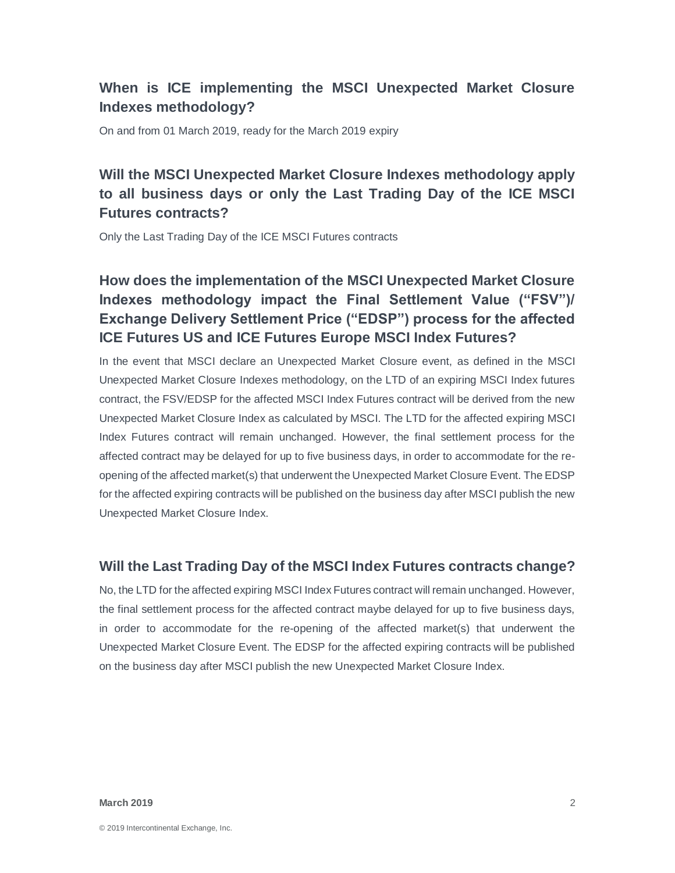# **When is ICE implementing the MSCI Unexpected Market Closure Indexes methodology?**

On and from 01 March 2019, ready for the March 2019 expiry

# **Will the MSCI Unexpected Market Closure Indexes methodology apply to all business days or only the Last Trading Day of the ICE MSCI Futures contracts?**

Only the Last Trading Day of the ICE MSCI Futures contracts

# **How does the implementation of the MSCI Unexpected Market Closure Indexes methodology impact the Final Settlement Value ("FSV")/ Exchange Delivery Settlement Price ("EDSP") process for the affected ICE Futures US and ICE Futures Europe MSCI Index Futures?**

In the event that MSCI declare an Unexpected Market Closure event, as defined in the MSCI Unexpected Market Closure Indexes methodology, on the LTD of an expiring MSCI Index futures contract, the FSV/EDSP for the affected MSCI Index Futures contract will be derived from the new Unexpected Market Closure Index as calculated by MSCI. The LTD for the affected expiring MSCI Index Futures contract will remain unchanged. However, the final settlement process for the affected contract may be delayed for up to five business days, in order to accommodate for the reopening of the affected market(s) that underwent the Unexpected Market Closure Event. The EDSP for the affected expiring contracts will be published on the business day after MSCI publish the new Unexpected Market Closure Index.

#### **Will the Last Trading Day of the MSCI Index Futures contracts change?**

No, the LTD for the affected expiring MSCI Index Futures contract will remain unchanged. However, the final settlement process for the affected contract maybe delayed for up to five business days, in order to accommodate for the re-opening of the affected market(s) that underwent the Unexpected Market Closure Event. The EDSP for the affected expiring contracts will be published on the business day after MSCI publish the new Unexpected Market Closure Index.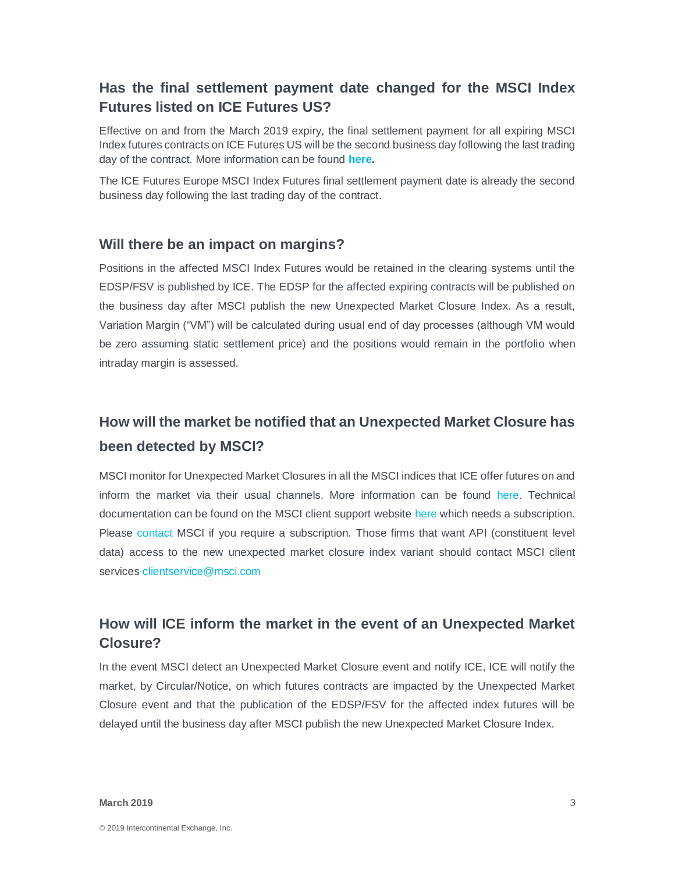#### **Has the final settlement payment date changed for the MSCI Index Futures listed on ICE Futures US?**

Effective on and from the March 2019 expiry, the final settlement payment for all expiring MSCI Index futures contracts on ICE Futures US will be the second business day following the last trading day of the contract. More information can be found **[here.](https://www.theice.com/publicdocs/clear_us/notices/19-010_MSCI_Final_Settlement_Date.pdf)**

The ICE Futures Europe MSCI Index Futures final settlement payment date is already the second business day following the last trading day of the contract.

#### **Will there be an impact on margins?**

Positions in the affected MSCI Index Futures would be retained in the clearing systems until the EDSP/FSV is published by ICE. The EDSP for the affected expiring contracts will be published on the business day after MSCI publish the new Unexpected Market Closure Index. As a result, Variation Margin ("VM") will be calculated during usual end of day processes (although VM would be zero assuming static settlement price) and the positions would remain in the portfolio when intraday margin is assessed.

# **How will the market be notified that an Unexpected Market Closure has been detected by MSCI?**

MSCI monitor for Unexpected Market Closures in all the MSCI indices that ICE offer futures on and inform the market via their usual channels. More information can be found [here.](https://secure.ice/?https://www.msci.com/index-tools) Technical documentation can be found on the MSCI client support website [here](https://secure.ice/?https://support.msci.com/) which needs a subscription. Please [contact](https://www.msci.com/contact-us) MSCI if you require a subscription. Those firms that want API (constituent level data) access to the new unexpected market closure index variant should contact MSCI client services [clientservice@msci.com](mailto:clientservice@msci.com)

## **How will ICE inform the market in the event of an Unexpected Market Closure?**

In the event MSCI detect an Unexpected Market Closure event and notify ICE, ICE will notify the market, by Circular/Notice, on which futures contracts are impacted by the Unexpected Market Closure event and that the publication of the EDSP/FSV for the affected index futures will be delayed until the business day after MSCI publish the new Unexpected Market Closure Index.